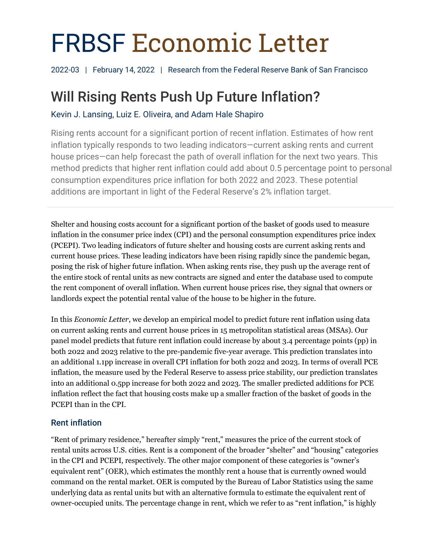# FRBSF Economic Letter

2022-03 | February 14, 2022 | Research from the Federal Reserve Bank of San Francisco

# Will Rising Rents Push Up Future Inflation?

Kevin J. Lansing, Luiz E. Oliveira, and Adam Hale Shapiro

Rising rents account for a significant portion of recent inflation. Estimates of how rent inflation typically responds to two leading indicators—current asking rents and current house prices—can help forecast the path of overall inflation for the next two years. This method predicts that higher rent inflation could add about 0.5 percentage point to personal consumption expenditures price inflation for both 2022 and 2023. These potential additions are important in light of the Federal Reserve's 2% inflation target.

Shelter and housing costs account for a significant portion of the basket of goods used to measure inflation in the consumer price index (CPI) and the personal consumption expenditures price index (PCEPI). Two leading indicators of future shelter and housing costs are current asking rents and current house prices. These leading indicators have been rising rapidly since the pandemic began, posing the risk of higher future inflation. When asking rents rise, they push up the average rent of the entire stock of rental units as new contracts are signed and enter the database used to compute the rent component of overall inflation. When current house prices rise, they signal that owners or landlords expect the potential rental value of the house to be higher in the future.

In this *Economic Letter*, we develop an empirical model to predict future rent inflation using data on current asking rents and current house prices in 15 metropolitan statistical areas (MSAs). Our panel model predicts that future rent inflation could increase by about 3.4 percentage points (pp) in both 2022 and 2023 relative to the pre-pandemic five-year average. This prediction translates into an additional 1.1pp increase in overall CPI inflation for both 2022 and 2023. In terms of overall PCE inflation, the measure used by the Federal Reserve to assess price stability, our prediction translates into an additional 0.5pp increase for both 2022 and 2023. The smaller predicted additions for PCE inflation reflect the fact that housing costs make up a smaller fraction of the basket of goods in the PCEPI than in the CPI.

# Rent inflation

"Rent of primary residence," hereafter simply "rent," measures the price of the current stock of rental units across U.S. cities. Rent is a component of the broader "shelter" and "housing" categories in the CPI and PCEPI, respectively. The other major component of these categories is "owner's equivalent rent" (OER), which estimates the monthly rent a house that is currently owned would command on the rental market. OER is computed by the Bureau of Labor Statistics using the same underlying data as rental units but with an alternative formula to estimate the equivalent rent of owner-occupied units. The percentage change in rent, which we refer to as "rent inflation," is highly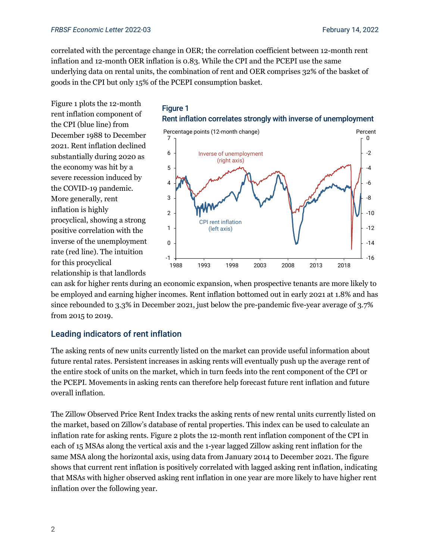correlated with the percentage change in OER; the correlation coefficient between 12-month rent inflation and 12-month OER inflation is 0.83. While the CPI and the PCEPI use the same underlying data on rental units, the combination of rent and OER comprises 32% of the basket of goods in the CPI but only 15% of the PCEPI consumption basket.

Figure 1 plots the 12-month rent inflation component of the CPI (blue line) from December 1988 to December 2021. Rent inflation declined substantially during 2020 as the economy was hit by a severe recession induced by the COVID-19 pandemic. More generally, rent inflation is highly procyclical, showing a strong positive correlation with the inverse of the unemployment rate (red line). The intuition for this procyclical relationship is that landlords





can ask for higher rents during an economic expansion, when prospective tenants are more likely to be employed and earning higher incomes. Rent inflation bottomed out in early 2021 at 1.8% and has since rebounded to 3.3% in December 2021, just below the pre-pandemic five-year average of 3.7% from 2015 to 2019.

### Leading indicators of rent inflation

The asking rents of new units currently listed on the market can provide useful information about future rental rates. Persistent increases in asking rents will eventually push up the average rent of the entire stock of units on the market, which in turn feeds into the rent component of the CPI or the PCEPI. Movements in asking rents can therefore help forecast future rent inflation and future overall inflation.

The Zillow Observed Price Rent Index tracks the asking rents of new rental units currently listed on the market, based on Zillow's database of rental properties. This index can be used to calculate an inflation rate for asking rents. Figure 2 plots the 12-month rent inflation component of the CPI in each of 15 MSAs along the vertical axis and the 1-year lagged Zillow asking rent inflation for the same MSA along the horizontal axis, using data from January 2014 to December 2021. The figure shows that current rent inflation is positively correlated with lagged asking rent inflation, indicating that MSAs with higher observed asking rent inflation in one year are more likely to have higher rent inflation over the following year.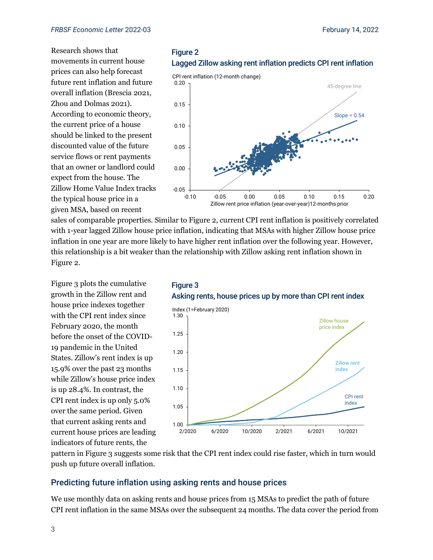Research shows that movements in current house prices can also help forecast future rent inflation and future overall inflation (Brescia 2021, Zhou and Dolmas 2021). According to economic theory, the current price of a house should be linked to the present discounted value of the future service flows or rent payments that an owner or landlord could expect from the house. The Zillow Home Value Index tracks the typical house price in a given MSA, based on recent





sales of comparable properties. Similar to Figure 2, current CPI rent inflation is positively correlated with 1-year lagged Zillow house price inflation, indicating that MSAs with higher Zillow house price inflation in one year are more likely to have higher rent inflation over the following year. However, this relationship is a bit weaker than the relationship with Zillow asking rent inflation shown in Figure 2.

Figure 3 plots the cumulative growth in the Zillow rent and house price indexes together with the CPI rent index since February 2020, the month before the onset of the COVID-19 pandemic in the United States. Zillow's rent index is up 15.9% over the past 23 months while Zillow's house price index is up 28.4%. In contrast, the CPI rent index is up only 5.0% over the same period. Given that current asking rents and current house prices are leading indicators of future rents, the





pattern in Figure 3 suggests some risk that the CPI rent index could rise faster, which in turn would push up future overall inflation.

#### Predicting future inflation using asking rents and house prices

We use monthly data on asking rents and house prices from 15 MSAs to predict the path of future CPI rent inflation in the same MSAs over the subsequent 24 months. The data cover the period from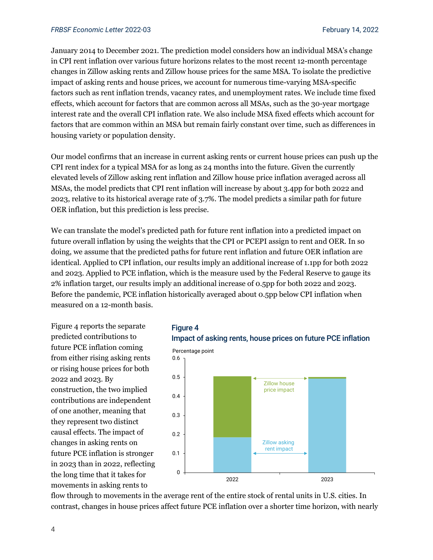January 2014 to December 2021. The prediction model considers how an individual MSA's change in CPI rent inflation over various future horizons relates to the most recent 12-month percentage changes in Zillow asking rents and Zillow house prices for the same MSA. To isolate the predictive impact of asking rents and house prices, we account for numerous time-varying MSA-specific factors such as rent inflation trends, vacancy rates, and unemployment rates. We include time fixed effects, which account for factors that are common across all MSAs, such as the 30-year mortgage interest rate and the overall CPI inflation rate. We also include MSA fixed effects which account for factors that are common within an MSA but remain fairly constant over time, such as differences in housing variety or population density.

Our model confirms that an increase in current asking rents or current house prices can push up the CPI rent index for a typical MSA for as long as 24 months into the future. Given the currently elevated levels of Zillow asking rent inflation and Zillow house price inflation averaged across all MSAs, the model predicts that CPI rent inflation will increase by about 3.4pp for both 2022 and 2023, relative to its historical average rate of 3.7%. The model predicts a similar path for future OER inflation, but this prediction is less precise.

We can translate the model's predicted path for future rent inflation into a predicted impact on future overall inflation by using the weights that the CPI or PCEPI assign to rent and OER. In so doing, we assume that the predicted paths for future rent inflation and future OER inflation are identical. Applied to CPI inflation, our results imply an additional increase of 1.1pp for both 2022 and 2023. Applied to PCE inflation, which is the measure used by the Federal Reserve to gauge its 2% inflation target, our results imply an additional increase of 0.5pp for both 2022 and 2023. Before the pandemic, PCE inflation historically averaged about 0.5pp below CPI inflation when measured on a 12-month basis.

Figure 4 reports the separate predicted contributions to future PCE inflation coming from either rising asking rents or rising house prices for both 2022 and 2023. By construction, the two implied contributions are independent of one another, meaning that they represent two distinct causal effects. The impact of changes in asking rents on future PCE inflation is stronger in 2023 than in 2022, reflecting the long time that it takes for movements in asking rents to



2022 2023

flow through to movements in the average rent of the entire stock of rental units in U.S. cities. In contrast, changes in house prices affect future PCE inflation over a shorter time horizon, with nearly